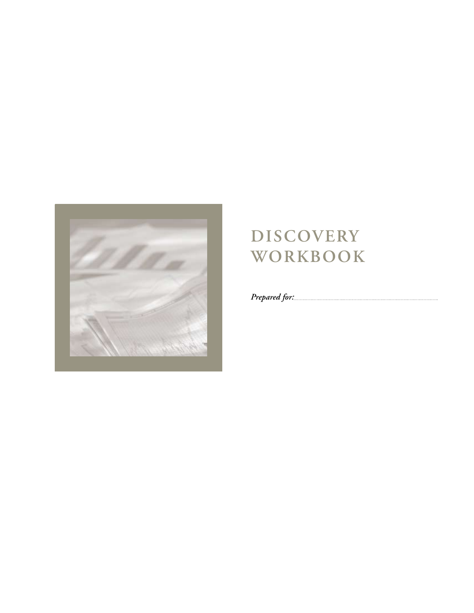

## **Discovery Workbook**

*Prepared for:*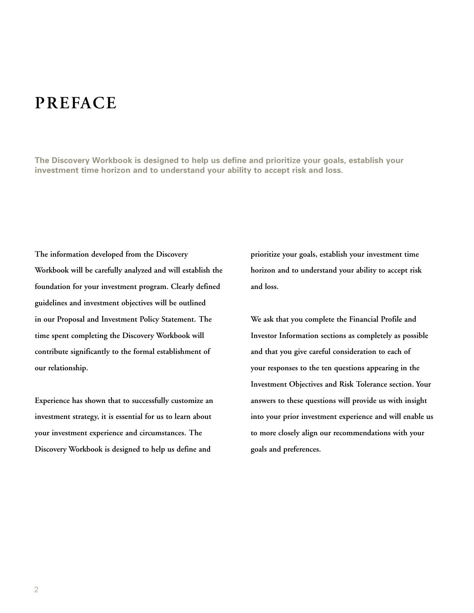### **Preface**

**The Discovery Workbook is designed to help us define and prioritize your goals, establish your investment time horizon and to understand your ability to accept risk and loss.**

**The information developed from the Discovery Workbook will be carefully analyzed and will establish the foundation for your investment program. Clearly defined guidelines and investment objectives will be outlined in our Proposal and Investment Policy Statement. The time spent completing the Discovery Workbook will contribute significantly to the formal establishment of our relationship.** 

**Experience has shown that to successfully customize an investment strategy, it is essential for us to learn about your investment experience and circumstances. The Discovery Workbook is designed to help us define and** 

**prioritize your goals, establish your investment time horizon and to understand your ability to accept risk and loss.**

**We ask that you complete the Financial Profile and Investor Information sections as completely as possible and that you give careful consideration to each of your responses to the ten questions appearing in the Investment Objectives and Risk Tolerance section. Your answers to these questions will provide us with insight into your prior investment experience and will enable us to more closely align our recommendations with your goals and preferences.**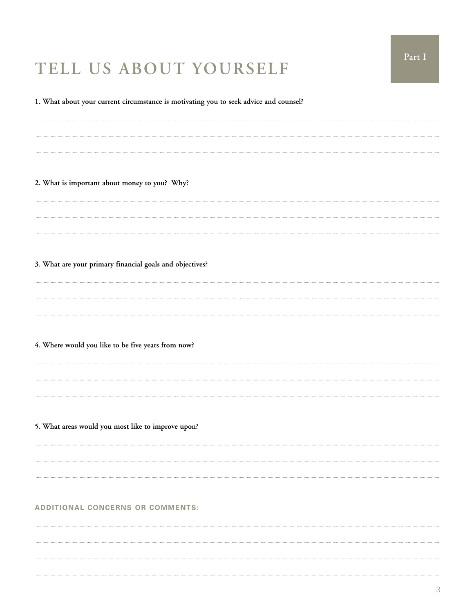## **Tell Us About Yourself**

**1. What about your current circumstance is motivating you to seek advice and counsel?** 

**2. What is important about money to you? Why?**

**3. What are your primary financial goals and objectives?**

**4. Where would you like to be five years from now?**

**5. What areas would you most like to improve upon?**

#### **ADDITIONAL CONCERNS OR COMMENTS:**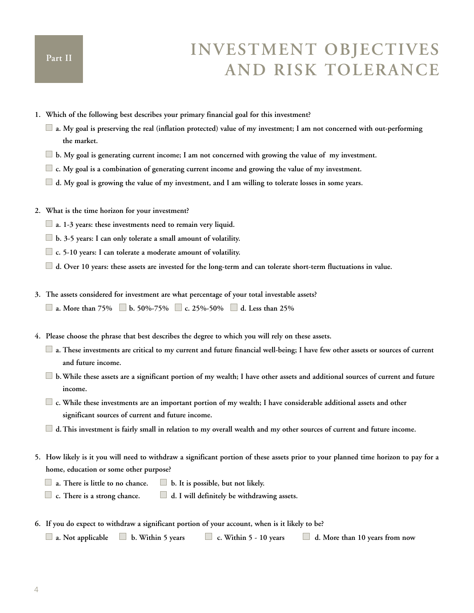### **Investment Objectives and Risk Tolerance**

- **1. Which of the following best describes your primary financial goal for this investment?**
	- **a. My goal is preserving the real (inflation protected) value of my investment; I am not concerned with out-performing the market.**
	- **b. My goal is generating current income; I am not concerned with growing the value of my investment.**
	- **c. My goal is a combination of generating current income and growing the value of my investment.**
	- **d. My goal is growing the value of my investment, and I am willing to tolerate losses in some years.**
- **2. What is the time horizon for your investment?**
	- **a. 1-3 years: these investments need to remain very liquid.**
	- **b. 3-5 years: I can only tolerate a small amount of volatility.**
	- **c. 5-10 years: I can tolerate a moderate amount of volatility.**
	- **d. Over 10 years: these assets are invested for the long-term and can tolerate short-term fluctuations in value.**
- **3. The assets considered for investment are what percentage of your total investable assets?**
	- **a. More than 75% b. 50%-75% c. 25%-50% d. Less than 25%**
- **4. Please choose the phrase that best describes the degree to which you will rely on these assets.**
	- **a. These investments are critical to my current and future financial well-being; I have few other assets or sources of current and future income.**
	- **b.While these assets are a significant portion of my wealth; I have other assets and additional sources of current and future income.**
	- **c. While these investments are an important portion of my wealth; I have considerable additional assets and other significant sources of current and future income.**
	- **d.This investment is fairly small in relation to my overall wealth and my other sources of current and future income.**
- **5. How likely is it you will need to withdraw a significant portion of these assets prior to your planned time horizon to pay for a home, education or some other purpose?**
	- **a. There is little to no chance. b. It is possible, but not likely.**
	- **c. There is a strong chance. d. I will definitely be withdrawing assets.**
- **6. If you do expect to withdraw a significant portion of your account, when is it likely to be?**

```
a. Not applicable b. Within 5 years c. Within 5 - 10 years d. More than 10 years from now
```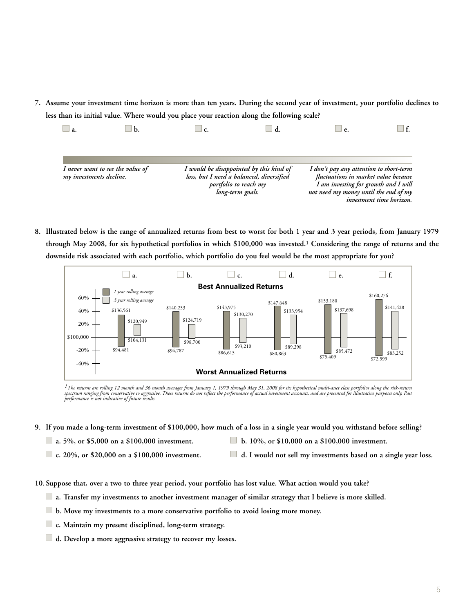**7. Assume your investment time horizon is more than ten years. During the second year of investment, your portfolio declines to less than its initial value. Where would you place your reaction along the following scale?**

| $\Box$ a.               |                                  | C. |                                                                                                                                  | e.                                                                                                                                                               |                          |
|-------------------------|----------------------------------|----|----------------------------------------------------------------------------------------------------------------------------------|------------------------------------------------------------------------------------------------------------------------------------------------------------------|--------------------------|
|                         |                                  |    |                                                                                                                                  |                                                                                                                                                                  |                          |
| my investments decline. | I never want to see the value of |    | I would be disappointed by this kind of<br>loss, but I need a balanced, diversified<br>portfolio to reach my<br>long-term goals. | I don't pay any attention to short-term<br>fluctuations in market value because<br>I am investing for growth and I will<br>not need my money until the end of my | investment time horizon. |

**8. Illustrated below is the range of annualized returns from best to worst for both 1 year and 3 year periods, from January 1979 through May 2008, for six hypothetical portfolios in which \$100,000 was invested.1 Considering the range of returns and the downside risk associated with each portfolio, which portfolio do you feel would be the most appropriate for you?**



*1The returns are rolling 12 month and 36 month averages from January 1, 1979 through May 31, 2008 for six hypothetical multi-asset class portfolios along the risk-return*  spectrum ranging from conservative to aggressive. These returns do not reflect the performance of actual investment accounts, and are presented for illustrative purposes only. Past<br>performance is not indicative of future r

- **9. If you made a long-term investment of \$100,000, how much of a loss in a single year would you withstand before selling?** 
	-
	- **a.** 5%, or \$5,000 on a \$100,000 investment. **b.** 10%, or \$10,000 on a \$100,000 investment.
	-
- 
- **c. 20%, or \$20,000 on a \$100,000 investment. d. I would not sell my investments based on a single year loss.**
- **10. Suppose that, over a two to three year period, your portfolio has lost value. What action would you take?**
	- **a. Transfer my investments to another investment manager of similar strategy that I believe is more skilled.**
	- **b. Move my investments to a more conservative portfolio to avoid losing more money.**
	- **c. Maintain my present disciplined, long-term strategy.**
	- **d. Develop a more aggressive strategy to recover my losses.**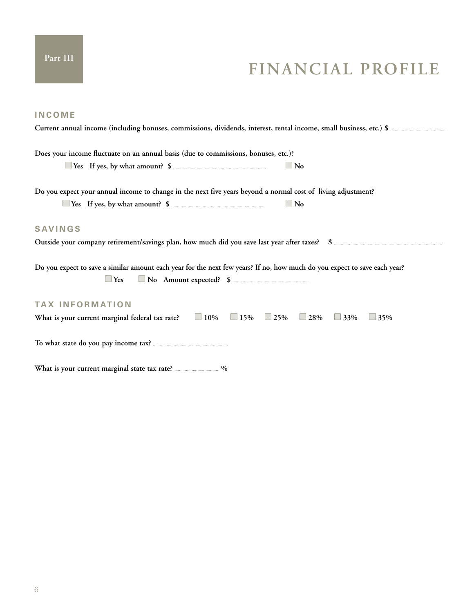## **Financial Profile**

| <b>INCOME</b>                                                                                                                                                     |
|-------------------------------------------------------------------------------------------------------------------------------------------------------------------|
|                                                                                                                                                                   |
| Does your income fluctuate on an annual basis (due to commissions, bonuses, etc.)?<br>$\Box$ No                                                                   |
|                                                                                                                                                                   |
| Do you expect your annual income to change in the next five years beyond a normal cost of living adjustment?                                                      |
| $\Box$ No                                                                                                                                                         |
| <b>SAVINGS</b>                                                                                                                                                    |
|                                                                                                                                                                   |
| Do you expect to save a similar amount each year for the next few years? If no, how much do you expect to save each year?<br>No Amount expected? \$<br>$\Box$ Yes |
| <b>TAX INFORMATION</b>                                                                                                                                            |
| What is your current marginal federal tax rate? $\Box$ 10% $\Box$ 15% $\Box$ 25% $\Box$ 28% $\Box$ 33%<br>$\Box$ 35%                                              |
|                                                                                                                                                                   |
|                                                                                                                                                                   |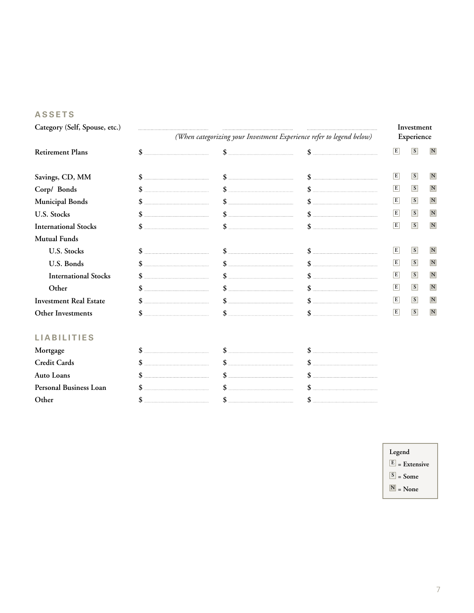#### **ASSETS**

**Category (Self, Spouse, etc.) Investment**

|                                                                      | Investment |
|----------------------------------------------------------------------|------------|
| (When categorizing your Investment Experience refer to legend below) | Experience |

| <b>Retirement Plans</b>       |  | E | S              | $\mathbf N$ |
|-------------------------------|--|---|----------------|-------------|
| Savings, CD, MM               |  | E | S              | $\mathbf N$ |
| Corp/ Bonds                   |  | E | <sup>S</sup>   | $\mathbf N$ |
| Municipal Bonds               |  | E | <sub>S</sub>   | $\mathbf N$ |
| <b>U.S. Stocks</b>            |  | E | S              | $\mathbf N$ |
| <b>International Stocks</b>   |  | E | $\overline{s}$ | $\mathbf N$ |
| <b>Mutual Funds</b>           |  |   |                |             |
| <b>U.S. Stocks</b>            |  | E | $\overline{s}$ | $\mathbf N$ |
| U.S. Bonds                    |  | E | <sub>S</sub>   | $\mathbf N$ |
| <b>International Stocks</b>   |  | E | <sub>S</sub>   | $\mathbf N$ |
| Other                         |  | E | S              | N           |
| <b>Investment Real Estate</b> |  | E | $\overline{s}$ | N           |
| Other Investments             |  | E | $\overline{s}$ | $\mathbf N$ |
|                               |  |   |                |             |

| Mortgage               |  |  |
|------------------------|--|--|
| <b>Credit Cards</b>    |  |  |
| <b>Auto Loans</b>      |  |  |
| Personal Business Loan |  |  |
|                        |  |  |

- **Legend**
- **E = Extensive**
- **S = Some**
- **N = None**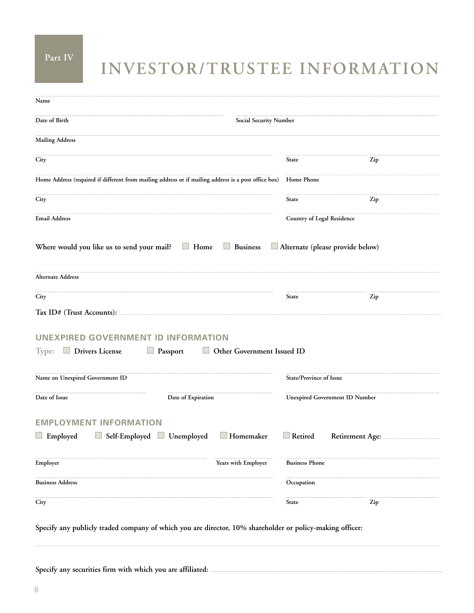### **Part IV**

## **Investor/Trustee Information**

| Name                                                                                                           |                            |                                |  |
|----------------------------------------------------------------------------------------------------------------|----------------------------|--------------------------------|--|
| Date of Birth<br><b>Social Security Number</b>                                                                 |                            |                                |  |
| <b>Mailing Address</b>                                                                                         |                            |                                |  |
| City                                                                                                           | State                      | Zip                            |  |
| Home Address (required if different from mailing address or if mailing address is a post office box)           | Home Phone                 |                                |  |
| City                                                                                                           | State                      | Zip                            |  |
| <b>Email Address</b>                                                                                           | Country of Legal Residence |                                |  |
| Where would you like us to send your mail? $\Box$ Home $\Box$ Business $\Box$ Alternate (please provide below) |                            |                                |  |
| Alternate Address                                                                                              |                            |                                |  |
| City                                                                                                           | State                      | Zip                            |  |
|                                                                                                                |                            |                                |  |
| UNEXPIRED GOVERNMENT ID INFORMATION                                                                            |                            |                                |  |
| Type: $\Box$ Drivers License<br>$\Box$ Passport<br>Other Government Issued ID                                  |                            |                                |  |
| Name on Unexpired Government ID                                                                                | State/Province of Issue    |                                |  |
| Date of Issue<br>Date of Expiration                                                                            |                            | Unexpired Government ID Number |  |
| <b>EMPLOYMENT INFORMATION</b><br>$\Box$ Employed<br>Self-Employed Unemployed<br>$\Box$ Homemaker               | $\Box$ Retired             |                                |  |
| Employer<br>Years with Employer                                                                                | <b>Business Phone</b>      |                                |  |
| <b>Business Address</b>                                                                                        | Occupation                 |                                |  |
| City                                                                                                           | State                      | Zip                            |  |

**Specify any publicly traded company of which you are director, 10% shareholder or policy-making officer:**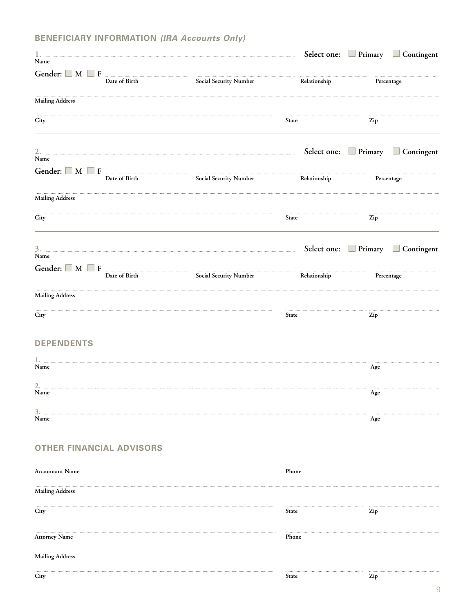### **Beneficiary Information** *(IRA Accounts Only)*

|                        |                                                            |                               |              |     | Select one: Primary Contingent |
|------------------------|------------------------------------------------------------|-------------------------------|--------------|-----|--------------------------------|
| Name                   |                                                            |                               |              |     |                                |
|                        | Date of Birth                                              | Social Security Number        | Relationship |     | Percentage                     |
| <b>Mailing Address</b> |                                                            |                               |              |     |                                |
| City                   |                                                            |                               | <b>State</b> | Zip |                                |
| Name                   |                                                            |                               |              |     | Select one: Primary Contingent |
|                        |                                                            |                               |              |     |                                |
|                        | Date of Birth                                              | <b>Social Security Number</b> | Relationship |     | Percentage                     |
| <b>Mailing Address</b> |                                                            |                               |              |     |                                |
| City                   |                                                            |                               | State        | Zip |                                |
|                        |                                                            |                               |              |     | Select one: Primary Contingent |
| Name                   |                                                            |                               |              |     |                                |
|                        | Gender: $\Box$ M $\Box$ F $\Box$ F $\Box$<br>Date of Birth | Social Security Number        | Relationship |     | Percentage                     |
| <b>Mailing Address</b> |                                                            |                               |              |     |                                |
| City                   |                                                            |                               | State        | Zip |                                |
| <b>DEPENDENTS</b>      |                                                            |                               |              |     |                                |
| Name                   |                                                            |                               |              |     |                                |
|                        |                                                            |                               |              | Age |                                |
| 2.<br>Name             |                                                            |                               |              | Age |                                |
| 3.<br>$\mathbf{Name}$  |                                                            |                               |              | Age |                                |
|                        | <b>OTHER FINANCIAL ADVISORS</b>                            |                               |              |     |                                |
| <b>Accountant Name</b> |                                                            |                               | Phone        |     |                                |
| <b>Mailing Address</b> |                                                            |                               |              |     |                                |
| City                   |                                                            |                               | <b>State</b> | Zip |                                |
| <b>Attorney Name</b>   |                                                            |                               | Phone        |     |                                |
| <b>Mailing Address</b> |                                                            |                               |              |     |                                |
| City                   |                                                            |                               | State        | Zip |                                |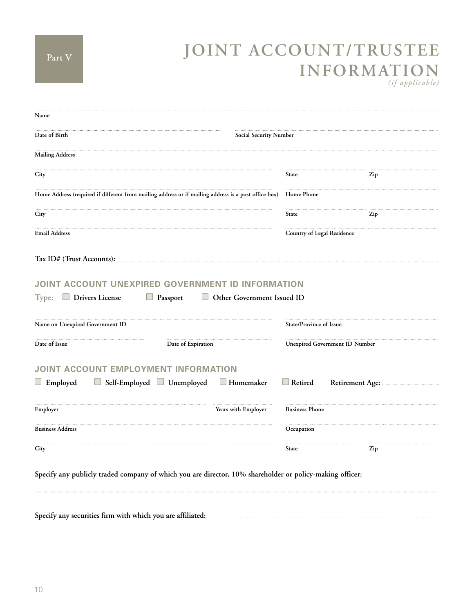# **Joint Account/Trustee Information**

*(if applicable)*

| Name                                                                                                                                                        |                                                                                                      |                                   |                                       |
|-------------------------------------------------------------------------------------------------------------------------------------------------------------|------------------------------------------------------------------------------------------------------|-----------------------------------|---------------------------------------|
| Date of Birth<br>Social Security Number                                                                                                                     |                                                                                                      |                                   |                                       |
| <b>Mailing Address</b>                                                                                                                                      |                                                                                                      |                                   |                                       |
| City                                                                                                                                                        |                                                                                                      | <b>State</b>                      | Zip                                   |
|                                                                                                                                                             | Home Address (required if different from mailing address or if mailing address is a post office box) | Home Phone                        |                                       |
| City                                                                                                                                                        |                                                                                                      | <b>State</b>                      | Zip                                   |
| <b>Email Address</b>                                                                                                                                        |                                                                                                      | <b>Country of Legal Residence</b> |                                       |
|                                                                                                                                                             |                                                                                                      |                                   |                                       |
|                                                                                                                                                             | JOINT ACCOUNT UNEXPIRED GOVERNMENT ID INFORMATION                                                    |                                   |                                       |
| <b>Drivers License</b>                                                                                                                                      | $\Box$ Passport<br>Other Government Issued ID                                                        | State/Province of Issue           |                                       |
|                                                                                                                                                             | Date of Expiration                                                                                   |                                   | <b>Unexpired Government ID Number</b> |
|                                                                                                                                                             |                                                                                                      |                                   |                                       |
|                                                                                                                                                             | $\Box$ Self-Employed $\Box$ Unemployed<br>$\Box$ Homemaker                                           | $\Box$ Retired                    | Retirement Age:                       |
|                                                                                                                                                             | Years with Employer                                                                                  | <b>Business Phone</b>             |                                       |
| Type:<br>Name on Unexpired Government ID<br>Date of Issue<br>JOINT ACCOUNT EMPLOYMENT INFORMATION<br>$\Box$ Employed<br>Employer<br><b>Business Address</b> |                                                                                                      | Occupation                        |                                       |

**Specify any securities firm with which you are affiliated:**